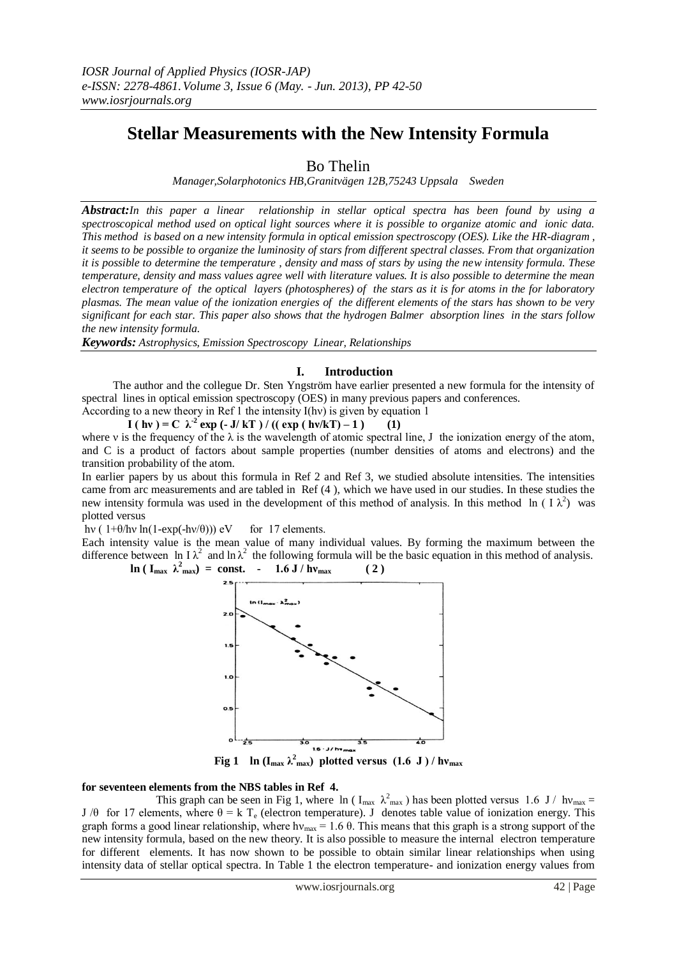# **Stellar Measurements with the New Intensity Formula**

Bo Thelin

*Manager,Solarphotonics HB,Granitvägen 12B,75243 Uppsala Sweden*

*Abstract:In this paper a linear relationship in stellar optical spectra has been found by using a spectroscopical method used on optical light sources where it is possible to organize atomic and ionic data. This method is based on a new intensity formula in optical emission spectroscopy (OES). Like the HR-diagram , it seems to be possible to organize the luminosity of stars from different spectral classes. From that organization it is possible to determine the temperature , density and mass of stars by using the new intensity formula. These temperature, density and mass values agree well with literature values. It is also possible to determine the mean electron temperature of the optical layers (photospheres) of the stars as it is for atoms in the for laboratory plasmas. The mean value of the ionization energies of the different elements of the stars has shown to be very significant for each star. This paper also shows that the hydrogen Balmer absorption lines in the stars follow the new intensity formula.*

*Keywords: Astrophysics, Emission Spectroscopy Linear, Relationships*

# **I. Introduction**

 The author and the collegue Dr. Sten Yngström have earlier presented a new formula for the intensity of spectral lines in optical emission spectroscopy (OES) in many previous papers and conferences.

According to a new theory in Ref 1 the intensity I(hν) is given by equation 1

**I** ( hv ) = C  $\lambda^2$  exp (- **J**/ kT ) / (( exp ( hv/kT) – 1 ) (1) where v is the frequency of the  $\lambda$  is the wavelength of atomic spectral line, J the ionization energy of the atom, and C is a product of factors about sample properties (number densities of atoms and electrons) and the transition probability of the atom.

In earlier papers by us about this formula in Ref 2 and Ref 3, we studied absolute intensities. The intensities came from arc measurements and are tabled in Ref (4 ), which we have used in our studies. In these studies the new intensity formula was used in the development of this method of analysis. In this method ln (  $I \lambda^2$ ) was plotted versus

hv (  $1+\theta$ /hv ln( $1-exp(-h\nu/\theta)$ )) eV for 17 elements.

Each intensity value is the mean value of many individual values. By forming the maximum between the difference between ln I $\lambda^2$  and ln  $\lambda^2$  the following formula will be the basic equation in this method of analysis.  $\ln (I_{\text{max}} \lambda_{\text{max}}^2) = \text{const.}$  - 1.6 J /  $h v_{\text{max}}$  ( 2 )



**Fig 1** ln ( $I_{max} \lambda_{max}^2$ ) plotted versus (1.6 J)/hv<sub>max</sub>

# **for seventeen elements from the NBS tables in Ref 4.**

This graph can be seen in Fig 1, where ln ( $I_{max} \lambda_{max}^2$ ) has been plotted versus 1.6 J/ hv<sub>max</sub> = J /θ for 17 elements, where  $\theta = k T_e$  (electron temperature). J denotes table value of ionization energy. This graph forms a good linear relationship, where  $hv_{\text{max}} = 1.6 \theta$ . This means that this graph is a strong support of the new intensity formula, based on the new theory. It is also possible to measure the internal electron temperature for different elements. It has now shown to be possible to obtain similar linear relationships when using intensity data of stellar optical spectra. In Table 1 the electron temperature- and ionization energy values from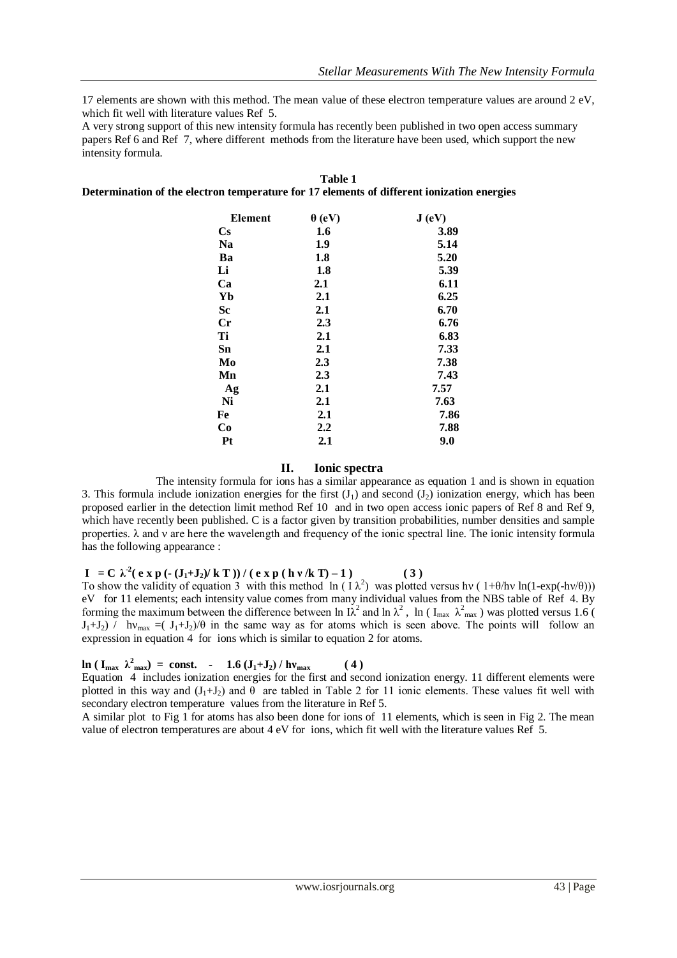17 elements are shown with this method. The mean value of these electron temperature values are around 2 eV, which fit well with literature values Ref 5.

A very strong support of this new intensity formula has recently been published in two open access summary papers Ref 6 and Ref 7, where different methods from the literature have been used, which support the new intensity formula.

| Element                | $\theta$ (eV) | J(eV) |
|------------------------|---------------|-------|
| $\mathbf{C}\mathbf{s}$ | 1.6           | 3.89  |
| <b>Na</b>              | 1.9           | 5.14  |
| Ba                     | 1.8           | 5.20  |
| Li                     | 1.8           | 5.39  |
| Ca                     | $2.1\,$       | 6.11  |
| Yb                     | 2.1           | 6.25  |
| Sc                     | 2.1           | 6.70  |
| $_{\rm Cr}$            | 2.3           | 6.76  |
| Ti                     | 2.1           | 6.83  |
| Sn                     | 2.1           | 7.33  |
| Mo                     | 2.3           | 7.38  |
| Mn                     | 2.3           | 7.43  |
| Ag                     | 2.1           | 7.57  |
| Ni                     | 2.1           | 7.63  |
| Fe                     | 2.1           | 7.86  |
| Co                     | $2.2\,$       | 7.88  |
| Pt                     | $2.1\,$       | 9.0   |

#### **Table 1 Determination of the electron temperature for 17 elements of different ionization energies**

# **II. Ionic spectra**

The intensity formula for ions has a similar appearance as equation 1 and is shown in equation 3. This formula include ionization energies for the first  $(J_1)$  and second  $(J_2)$  ionization energy, which has been proposed earlier in the detection limit method Ref 10 and in two open access ionic papers of Ref 8 and Ref 9, which have recently been published. C is a factor given by transition probabilities, number densities and sample properties. λ and ν are here the wavelength and frequency of the ionic spectral line. The ionic intensity formula has the following appearance :

**I** = **C**  $\lambda^2$  (**e** x **p** (**-** (**J**<sub>1</sub>+**J**<sub>2</sub>)/**k T**)) / (**e** x **p** (**hv**/**k T**) – **1**) (3)

To show the validity of equation 3 with this method  $\ln (1 \lambda^2)$  was plotted versus hv (1+θ/hv ln(1-exp(-hv/θ))) eV for 11 elements; each intensity value comes from many individual values from the NBS table of Ref 4. By forming the maximum between the difference between ln  $\lambda^2$  and ln  $\lambda^2$ , ln ( $I_{\text{max}}$ ,  $\lambda^2_{\text{max}}$ ) was plotted versus 1.6 (  $J_1+J_2$ ) / hv<sub>max</sub> =( $J_1+J_2$ )/ $\theta$  in the same way as for atoms which is seen above. The points will follow an expression in equation 4 for ions which is similar to equation 2 for atoms.

# $\ln (\mathbf{I}_{\text{max}} \ \lambda_{\text{max}}^2) = \text{const.} \ - \ 1.6 \left( \mathbf{J}_1 + \mathbf{J}_2 \right) / \mathbf{h} \mathbf{v}_{\text{max}}$  (4)

Equation 4 includes ionization energies for the first and second ionization energy. 11 different elements were plotted in this way and  $(J_1+J_2)$  and  $\theta$  are tabled in Table 2 for 11 ionic elements. These values fit well with secondary electron temperature values from the literature in Ref 5.

A similar plot to Fig 1 for atoms has also been done for ions of 11 elements, which is seen in Fig 2. The mean value of electron temperatures are about 4 eV for ions, which fit well with the literature values Ref 5.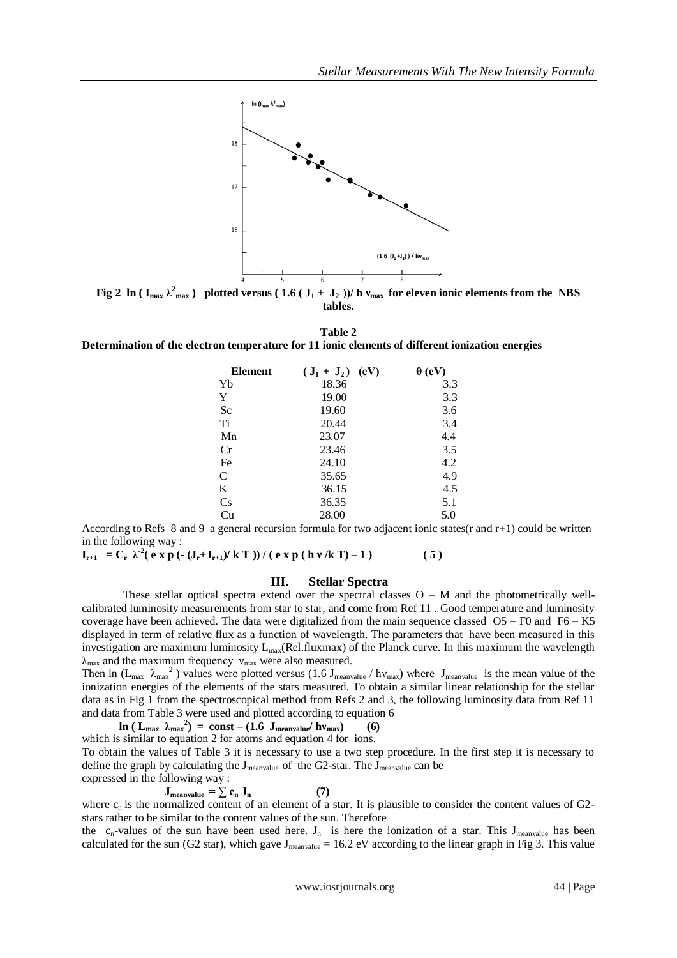

**Fig 2** ln ( $I_{max} \lambda_{max}^2$ ) plotted versus ( $1.6$  ( $J_1 + J_2$ ))/ h  $v_{max}$  for eleven ionic elements from the NBS **tables.**

**Table 2**

**Determination of the electron temperature for 11 ionic elements of different ionization energies** 

| <b>Element</b> | (eV)<br>$({\bf J}_1 + {\bf J}_2)$ | $\theta$ (eV) |
|----------------|-----------------------------------|---------------|
| Yb             | 18.36                             | 3.3           |
| Y              | 19.00                             | 3.3           |
| Sc             | 19.60                             | 3.6           |
| Ti             | 20.44                             | 3.4           |
| Mn             | 23.07                             | 4.4           |
| Cr             | 23.46                             | 3.5           |
| Fe             | 24.10                             | 4.2           |
| C              | 35.65                             | 4.9           |
| K              | 36.15                             | 4.5           |
| Cs             | 36.35                             | 5.1           |
| Cu             | 28.00                             | 5.0           |

According to Refs 8 and 9 a general recursion formula for two adjacent ionic states(r and r+1) could be written in the following way :

**I**<sub>r+1</sub> = C<sub>r</sub>  $\lambda^2$ (e x p (- (J<sub>r</sub>+J<sub>r+1</sub>)/k T )) / (e x p (h v /k T) – 1 ) (5)

# **III. Stellar Spectra**

These stellar optical spectra extend over the spectral classes  $O - M$  and the photometrically wellcalibrated luminosity measurements from star to star, and come from Ref 11 . Good temperature and luminosity coverage have been achieved. The data were digitalized from the main sequence classed O5 – F0 and F6 – K5 displayed in term of relative flux as a function of wavelength. The parameters that have been measured in this investigation are maximum luminosity  $L_{max}(Rel-fluxmax)$  of the Planck curve. In this maximum the wavelength  $\lambda_{\text{max}}$  and the maximum frequency  $v_{\text{max}}$  were also measured.

Then ln ( $L_{max}$   $\lambda_{max}$ <sup>2</sup>) values were plotted versus (1.6 J<sub>meanvalue</sub> / hv<sub>max</sub>) where J<sub>meanvalue</sub> is the mean value of the ionization energies of the elements of the stars measured. To obtain a similar linear relationship for the stellar data as in Fig 1 from the spectroscopical method from Refs 2 and 3, the following luminosity data from Ref 11 and data from Table 3 were used and plotted according to equation 6

 $\ln$  (  $L_{\text{max}}$   $\lambda_{\text{max}}^2$ ) = const – (1.6  $J_{\text{meanvalue}}/h\nu_{\text{max}}$ ) (6)

which is similar to equation 2 for atoms and equation 4 for ions.

To obtain the values of Table 3 it is necessary to use a two step procedure. In the first step it is necessary to define the graph by calculating the J<sub>meanvalue</sub> of the G2-star. The J<sub>meanvalue</sub> can be expressed in the following way :

$$
\mathbf{J}_{\text{meanvalue}} = \sum_{n} \mathbf{c}_n \, \mathbf{J}_n \tag{7}
$$

where  $c_n$  is the normalized content of an element of a star. It is plausible to consider the content values of G2stars rather to be similar to the content values of the sun. Therefore

the  $c_n$ -values of the sun have been used here.  $J_n$  is here the ionization of a star. This  $J_{mean value}$  has been calculated for the sun (G2 star), which gave  $J_{mean value} = 16.2$  eV according to the linear graph in Fig 3. This value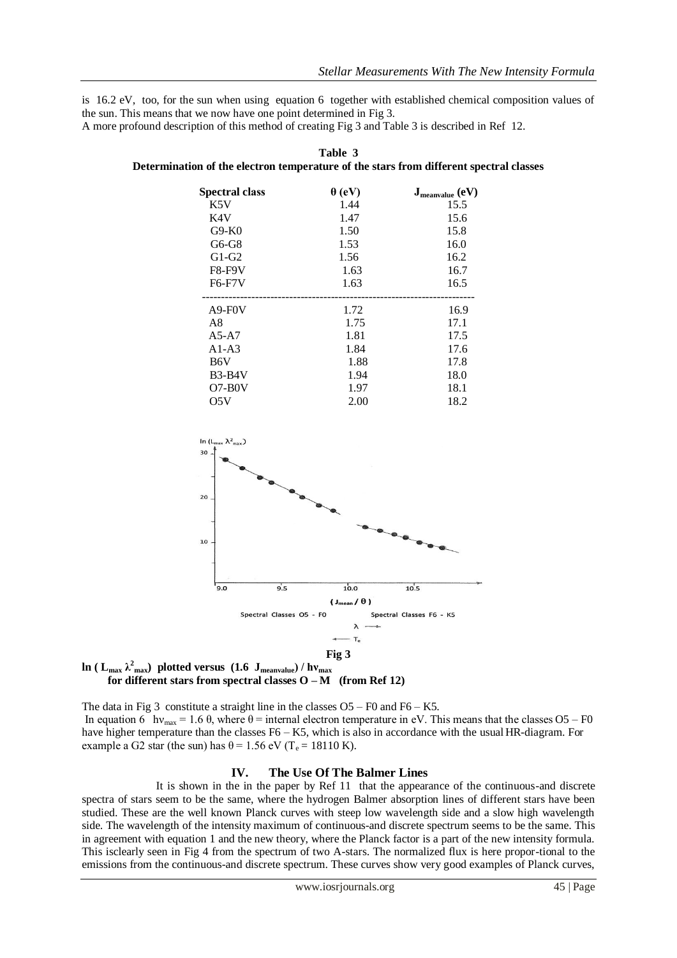is 16.2 eV, too, for the sun when using equation 6 together with established chemical composition values of the sun. This means that we now have one point determined in Fig 3.

A more profound description of this method of creating Fig 3 and Table 3 is described in Ref 12.

| <b>Spectral class</b> | $\theta$ (eV) | $J_{\text{meanvalue}}$ (eV) |
|-----------------------|---------------|-----------------------------|
| K5V                   | 1.44          | 15.5                        |
| K4V                   | 1.47          | 15.6                        |
| $G9-K0$               | 1.50          | 15.8                        |
| G6-G8                 | 1.53          | 16.0                        |
| $G1-G2$               | 1.56          | 16.2                        |
| <b>F8-F9V</b>         | 1.63          | 16.7                        |
| <b>F6-F7V</b>         | 1.63          | 16.5                        |
| $A9-F0V$              | 1.72          | 16.9                        |
| A8                    | 1.75          | 17.1                        |
| $A5-A7$               | 1.81          | 17.5                        |
| $A1-A3$               | 1.84          | 17.6                        |
| B6V                   | 1.88          | 17.8                        |
| $B3-B4V$              | 1.94          | 18.0                        |
| $O7-BOV$              | 1.97          | 18.1                        |
|                       |               |                             |

O5V 2.00 18.2







The data in Fig 3 constitute a straight line in the classes  $O5 - F0$  and  $F6 - K5$ . In equation 6 hv<sub>max</sub> = 1.6  $\theta$ , where  $\theta$  = internal electron temperature in eV. This means that the classes O5 – F0 have higher temperature than the classes F6 – K5, which is also in accordance with the usual HR-diagram. For example a G2 star (the sun) has  $\theta$  = 1.56 eV (T<sub>e</sub> = 18110 K).

# **IV. The Use Of The Balmer Lines**

It is shown in the in the paper by Ref 11 that the appearance of the continuous-and discrete spectra of stars seem to be the same, where the hydrogen Balmer absorption lines of different stars have been studied. These are the well known Planck curves with steep low wavelength side and a slow high wavelength side. The wavelength of the intensity maximum of continuous-and discrete spectrum seems to be the same. This in agreement with equation 1 and the new theory, where the Planck factor is a part of the new intensity formula. This isclearly seen in Fig 4 from the spectrum of two A-stars. The normalized flux is here propor-tional to the emissions from the continuous-and discrete spectrum. These curves show very good examples of Planck curves,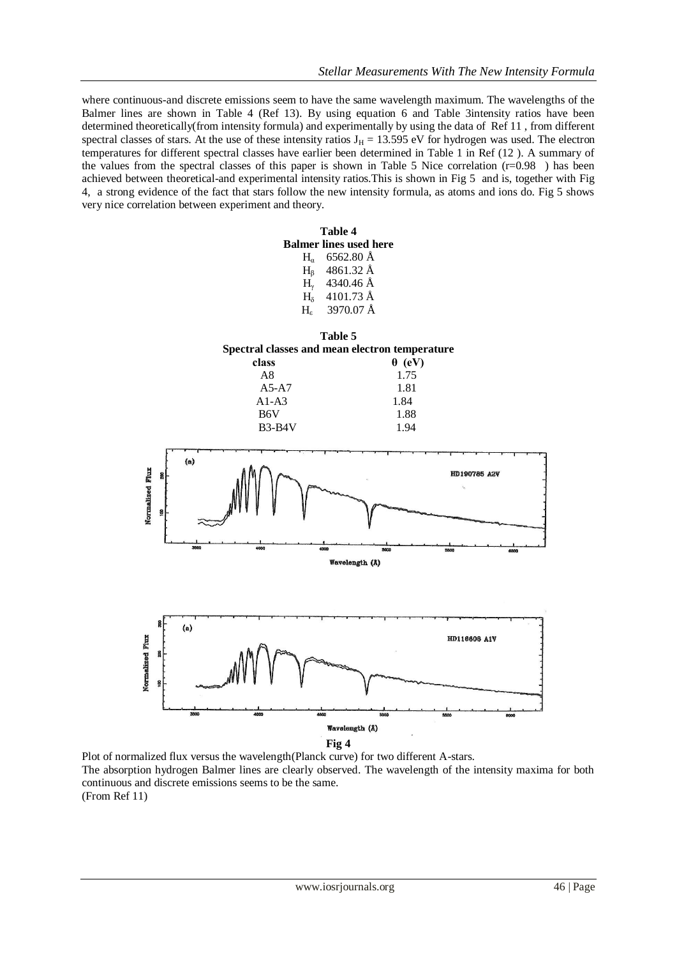where continuous-and discrete emissions seem to have the same wavelength maximum. The wavelengths of the Balmer lines are shown in Table 4 (Ref 13). By using equation 6 and Table 3intensity ratios have been determined theoretically(from intensity formula) and experimentally by using the data of Ref 11 , from different spectral classes of stars. At the use of these intensity ratios  $J_H = 13.595$  eV for hydrogen was used. The electron temperatures for different spectral classes have earlier been determined in Table 1 in Ref (12 ). A summary of the values from the spectral classes of this paper is shown in Table 5 Nice correlation  $(r=0.98)$  has been achieved between theoretical-and experimental intensity ratios.This is shown in Fig 5 and is, together with Fig 4, a strong evidence of the fact that stars follow the new intensity formula, as atoms and ions do. Fig 5 shows very nice correlation between experiment and theory.



Plot of normalized flux versus the wavelength(Planck curve) for two different A-stars. The absorption hydrogen Balmer lines are clearly observed. The wavelength of the intensity maxima for both continuous and discrete emissions seems to be the same. (From Ref 11)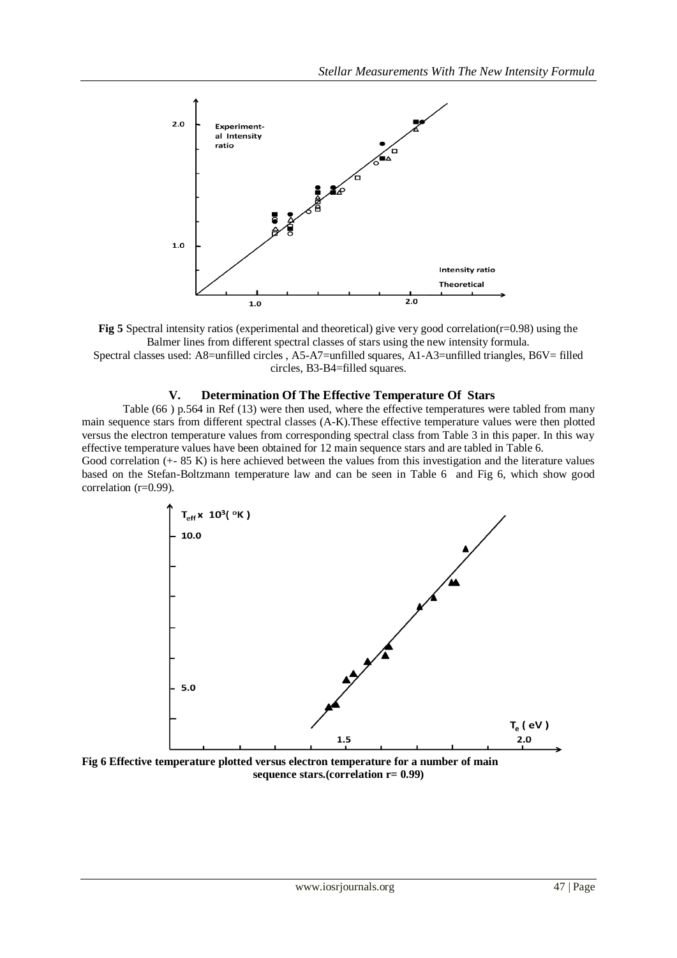

**Fig 5** Spectral intensity ratios (experimental and theoretical) give very good correlation(r=0.98) using the Balmer lines from different spectral classes of stars using the new intensity formula. Spectral classes used: A8=unfilled circles, A5-A7=unfilled squares, A1-A3=unfilled triangles, B6V= filled circles, B3-B4=filled squares.

# **V. Determination Of The Effective Temperature Of Stars**

Table (66 ) p.564 in Ref (13) were then used, where the effective temperatures were tabled from many main sequence stars from different spectral classes (A-K).These effective temperature values were then plotted versus the electron temperature values from corresponding spectral class from Table 3 in this paper. In this way effective temperature values have been obtained for 12 main sequence stars and are tabled in Table 6. Good correlation (+- 85 K) is here achieved between the values from this investigation and the literature values

based on the Stefan-Boltzmann temperature law and can be seen in Table 6 and Fig 6, which show good correlation (r=0.99).



**Fig 6 Effective temperature plotted versus electron temperature for a number of main sequence stars.(correlation r= 0.99)**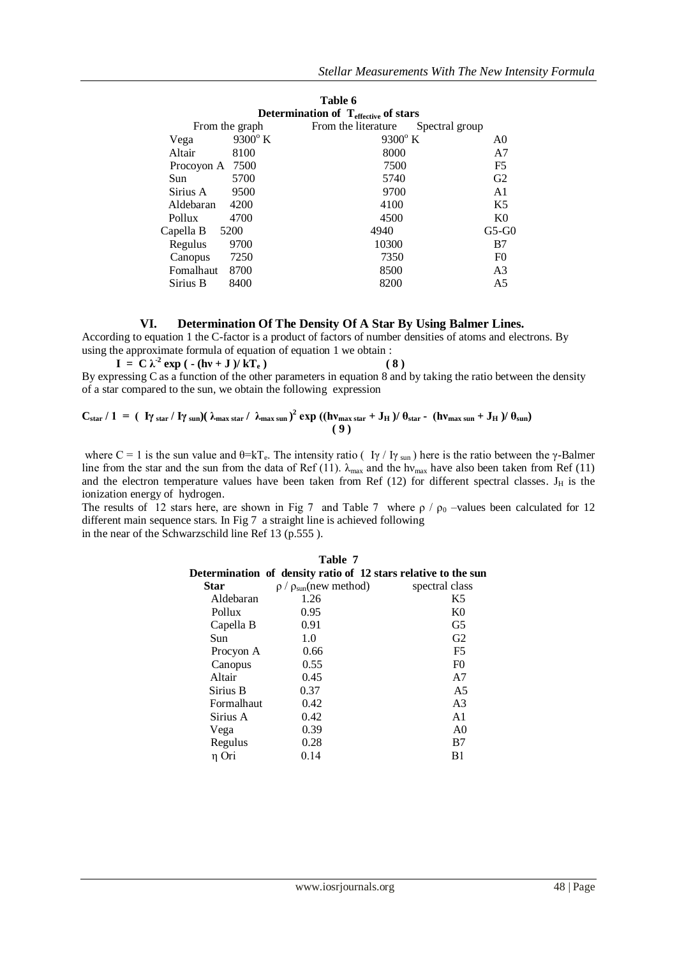|                                                  |                  | Table 6             |                |                |
|--------------------------------------------------|------------------|---------------------|----------------|----------------|
| Determination of $T_{\text{effective}}$ of stars |                  |                     |                |                |
| From the graph                                   |                  | From the literature | Spectral group |                |
| Vega                                             | $9300^{\circ}$ K | $9300^{\circ}$ K    |                | A0             |
| Altair<br>8100                                   |                  | 8000                |                | A7             |
| 7500<br>Procoyon A                               |                  | 7500                |                | F <sub>5</sub> |
| 5700<br>Sun                                      |                  | 5740                |                | G2             |
| Sirius A<br>9500                                 |                  | 9700                |                | A <sub>1</sub> |
| Aldebaran<br>4200                                |                  | 4100                |                | K5             |
| 4700<br>Pollux                                   |                  | 4500                |                | K <sub>0</sub> |
| Capella B<br>5200                                |                  | 4940                |                | $G5-G0$        |
| 9700<br>Regulus                                  |                  | 10300               |                | B7             |
| 7250<br>Canopus                                  |                  | 7350                |                | F <sub>0</sub> |
| 8700<br>Fomalhaut                                |                  | 8500                |                | A <sub>3</sub> |
| 8400<br>Sirius B                                 |                  | 8200                |                | A5             |

# **VI. Determination Of The Density Of A Star By Using Balmer Lines.**

According to equation 1 the C-factor is a product of factors of number densities of atoms and electrons. By using the approximate formula of equation of equation 1 we obtain :

 **I** =  $C \lambda^2 \exp(- (\hbar v + J)/kT_e)$  (8) By expressing C as a function of the other parameters in equation 8 and by taking the ratio between the density of a star compared to the sun, we obtain the following expression

$$
C_{star} / 1 = ( \frac{V_{\text{star}}}{V_{\text{star}}} / \frac{V_{\text{sun}}}{V_{\text{sun}}}) (\lambda_{\text{max star}} / \lambda_{\text{max sun}})^2 \exp((h v_{\text{max star}} + J_H) / \theta_{\text{star}} - (h v_{\text{max sun}} + J_H) / \theta_{\text{sun}})
$$

where C = 1 is the sun value and  $\theta = kT_e$ . The intensity ratio ( I $\gamma$  / I $\gamma$  sun) here is the ratio between the  $\gamma$ -Balmer line from the star and the sun from the data of Ref (11).  $\lambda_{max}$  and the hv<sub>max</sub> have also been taken from Ref (11) and the electron temperature values have been taken from Ref  $(12)$  for different spectral classes. J<sub>H</sub> is the ionization energy of hydrogen.

The results of 12 stars here, are shown in Fig 7 and Table 7 where  $\rho / \rho_0$  –values been calculated for 12 different main sequence stars. In Fig 7 a straight line is achieved following in the near of the Schwarzschild line Ref 13 (p.555 ).

| Table 7<br>Determination of density ratio of 12 stars relative to the sun |                                  |                |  |
|---------------------------------------------------------------------------|----------------------------------|----------------|--|
|                                                                           |                                  |                |  |
| <b>Star</b>                                                               | $\rho / \rho_{sun}$ (new method) | spectral class |  |
| Aldebaran                                                                 | 1.26                             | K5             |  |
| Pollux                                                                    | 0.95                             | K <sub>0</sub> |  |
| Capella B                                                                 | 0.91                             | G <sub>5</sub> |  |
| Sun                                                                       | 1.0                              | G <sub>2</sub> |  |
| Procyon A                                                                 | 0.66                             | F <sub>5</sub> |  |
| Canopus                                                                   | 0.55                             | F <sub>0</sub> |  |
| Altair                                                                    | 0.45                             | A7             |  |
| Sirius B                                                                  | 0.37                             | A <sub>5</sub> |  |
| <b>Formalhaut</b>                                                         | 0.42                             | A <sub>3</sub> |  |
| Sirius A                                                                  | 0.42                             | A <sub>1</sub> |  |
| Vega                                                                      | 0.39                             | A <sub>0</sub> |  |
| Regulus                                                                   | 0.28                             | B7             |  |
| η Ori                                                                     | 0.14                             | B1             |  |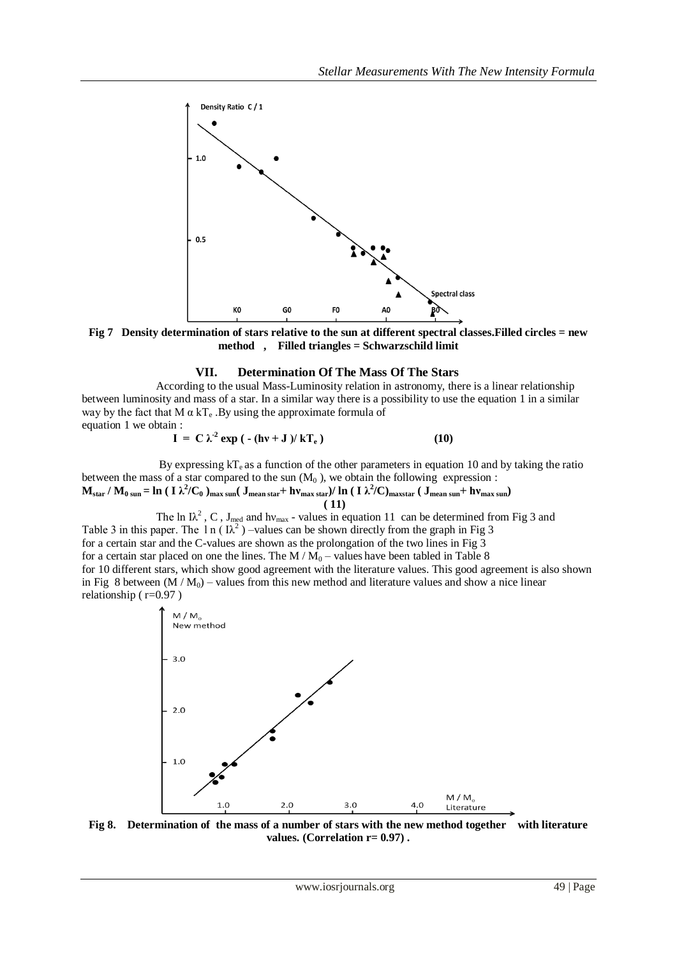

**Fig 7 Density determination of stars relative to the sun at different spectral classes.Filled circles = new method , Filled triangles = Schwarzschild limit**

#### **VII. Determination Of The Mass Of The Stars**

According to the usual Mass-Luminosity relation in astronomy, there is a linear relationship between luminosity and mass of a star. In a similar way there is a possibility to use the equation 1 in a similar way by the fact that M  $\alpha$  kT<sub>e</sub>. By using the approximate formula of equation 1 we obtain :

$$
I = C \lambda^2 \exp \left( - (\hbar v + J) / kT_e \right) \tag{10}
$$

By expressing  $kT_e$  as a function of the other parameters in equation 10 and by taking the ratio between the mass of a star compared to the sun  $(M_0)$ , we obtain the following expression :  $M_{\rm star}/M_{\rm 0\,sun}$  =  $\ln$  ( I  $\lambda^2/C_0$  )<sub>max sun</sub>( J<sub>mean star</sub> +  $h v_{\rm max\,star}$ )/  $\ln$  ( I  $\lambda^2/C$ )<sub>maxstar</sub> ( J<sub>mean sun</sub> +  $h v_{\rm max\,sun}$ )

 **( 11)** The ln I $\lambda^2$ , C, J<sub>med</sub> and hv<sub>max</sub> - values in equation 11 can be determined from Fig 3 and Table 3 in this paper. The 1 n ( $\lambda^2$ ) –values can be shown directly from the graph in Fig 3 for a certain star and the C-values are shown as the prolongation of the two lines in Fig 3 for a certain star placed on one the lines. The  $M/M_0$  – values have been tabled in Table 8 for 10 different stars, which show good agreement with the literature values. This good agreement is also shown in Fig 8 between  $(M/M_0)$  – values from this new method and literature values and show a nice linear relationship ( $r=0.97$ )

> $M/M_{\rm o}$ New method  $3.0$  $2.0$  $1.0$  $M/M_{\circ}$  $1.0$  $2.0$  $3.0$  $4.0$ Literature

**Fig 8. Determination of the mass of a number of stars with the new method together with literature values. (Correlation r= 0.97) .**